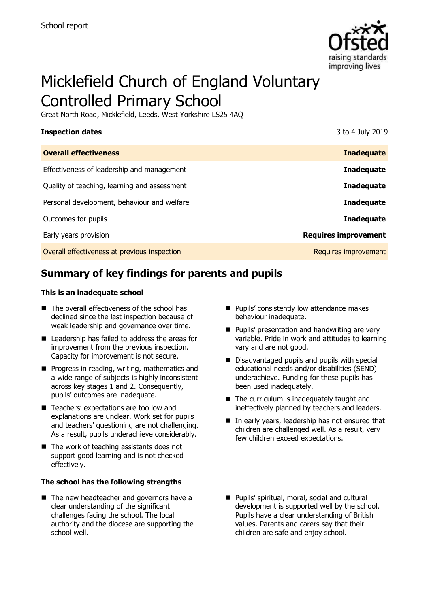

# Micklefield Church of England Voluntary Controlled Primary School

Great North Road, Micklefield, Leeds, West Yorkshire LS25 4AQ

| <b>Inspection dates</b>                      | 3 to 4 July 2019            |
|----------------------------------------------|-----------------------------|
| <b>Overall effectiveness</b>                 | <b>Inadequate</b>           |
| Effectiveness of leadership and management   | <b>Inadequate</b>           |
| Quality of teaching, learning and assessment | <b>Inadequate</b>           |
| Personal development, behaviour and welfare  | <b>Inadequate</b>           |
| Outcomes for pupils                          | <b>Inadequate</b>           |
| Early years provision                        | <b>Requires improvement</b> |
| Overall effectiveness at previous inspection | Requires improvement        |

# **Summary of key findings for parents and pupils**

#### **This is an inadequate school**

- The overall effectiveness of the school has declined since the last inspection because of weak leadership and governance over time.
- Leadership has failed to address the areas for improvement from the previous inspection. Capacity for improvement is not secure.
- $\blacksquare$  Progress in reading, writing, mathematics and a wide range of subjects is highly inconsistent across key stages 1 and 2. Consequently, pupils' outcomes are inadequate.
- Teachers' expectations are too low and explanations are unclear. Work set for pupils and teachers' questioning are not challenging. As a result, pupils underachieve considerably.
- The work of teaching assistants does not support good learning and is not checked effectively.

#### **The school has the following strengths**

■ The new headteacher and governors have a clear understanding of the significant challenges facing the school. The local authority and the diocese are supporting the school well.

- **Pupils' consistently low attendance makes** behaviour inadequate.
- **Pupils' presentation and handwriting are very** variable. Pride in work and attitudes to learning vary and are not good.
- Disadvantaged pupils and pupils with special educational needs and/or disabilities (SEND) underachieve. Funding for these pupils has been used inadequately.
- The curriculum is inadequately taught and ineffectively planned by teachers and leaders.
- In early years, leadership has not ensured that children are challenged well. As a result, very few children exceed expectations.
- **Pupils' spiritual, moral, social and cultural** development is supported well by the school. Pupils have a clear understanding of British values. Parents and carers say that their children are safe and enjoy school.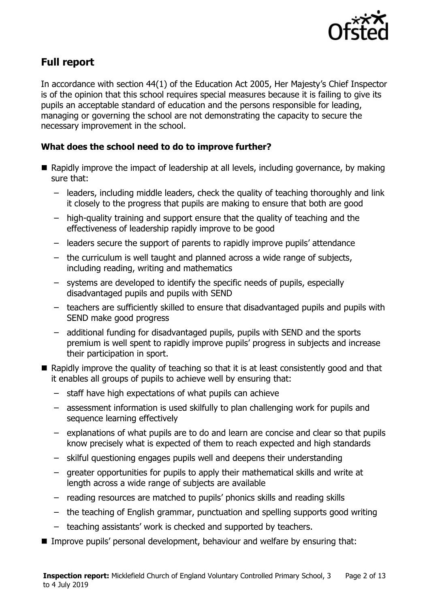

# **Full report**

In accordance with section 44(1) of the Education Act 2005, Her Majesty's Chief Inspector is of the opinion that this school requires special measures because it is failing to give its pupils an acceptable standard of education and the persons responsible for leading, managing or governing the school are not demonstrating the capacity to secure the necessary improvement in the school.

### **What does the school need to do to improve further?**

- Rapidly improve the impact of leadership at all levels, including governance, by making sure that:
	- leaders, including middle leaders, check the quality of teaching thoroughly and link it closely to the progress that pupils are making to ensure that both are good
	- high-quality training and support ensure that the quality of teaching and the effectiveness of leadership rapidly improve to be good
	- leaders secure the support of parents to rapidly improve pupils' attendance
	- the curriculum is well taught and planned across a wide range of subjects, including reading, writing and mathematics
	- systems are developed to identify the specific needs of pupils, especially disadvantaged pupils and pupils with SEND
	- teachers are sufficiently skilled to ensure that disadvantaged pupils and pupils with SEND make good progress
	- additional funding for disadvantaged pupils, pupils with SEND and the sports premium is well spent to rapidly improve pupils' progress in subjects and increase their participation in sport.
- Rapidly improve the quality of teaching so that it is at least consistently good and that it enables all groups of pupils to achieve well by ensuring that:
	- staff have high expectations of what pupils can achieve
	- assessment information is used skilfully to plan challenging work for pupils and sequence learning effectively
	- explanations of what pupils are to do and learn are concise and clear so that pupils know precisely what is expected of them to reach expected and high standards
	- skilful questioning engages pupils well and deepens their understanding
	- greater opportunities for pupils to apply their mathematical skills and write at length across a wide range of subjects are available
	- reading resources are matched to pupils' phonics skills and reading skills
	- the teaching of English grammar, punctuation and spelling supports good writing
	- teaching assistants' work is checked and supported by teachers.
- Improve pupils' personal development, behaviour and welfare by ensuring that: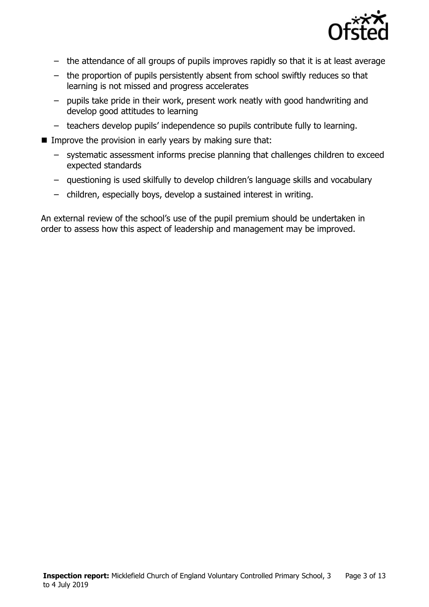

- the attendance of all groups of pupils improves rapidly so that it is at least average
- the proportion of pupils persistently absent from school swiftly reduces so that learning is not missed and progress accelerates
- pupils take pride in their work, present work neatly with good handwriting and develop good attitudes to learning
- teachers develop pupils' independence so pupils contribute fully to learning.
- Improve the provision in early years by making sure that:
	- systematic assessment informs precise planning that challenges children to exceed expected standards
	- questioning is used skilfully to develop children's language skills and vocabulary
	- children, especially boys, develop a sustained interest in writing.

An external review of the school's use of the pupil premium should be undertaken in order to assess how this aspect of leadership and management may be improved.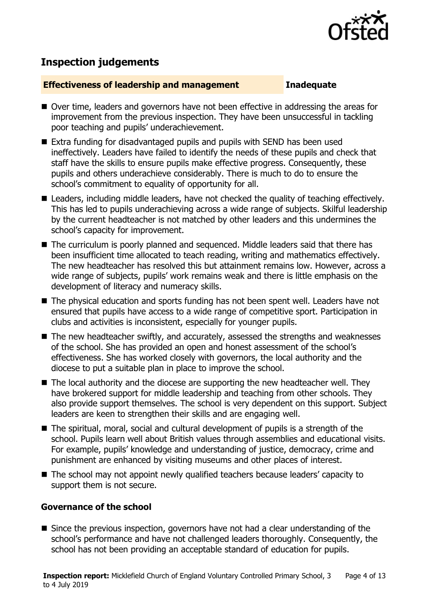

## **Inspection judgements**

#### **Effectiveness of leadership and management Inadequate**

- Over time, leaders and governors have not been effective in addressing the areas for improvement from the previous inspection. They have been unsuccessful in tackling poor teaching and pupils' underachievement.
- Extra funding for disadvantaged pupils and pupils with SEND has been used ineffectively. Leaders have failed to identify the needs of these pupils and check that staff have the skills to ensure pupils make effective progress. Consequently, these pupils and others underachieve considerably. There is much to do to ensure the school's commitment to equality of opportunity for all.
- Leaders, including middle leaders, have not checked the quality of teaching effectively. This has led to pupils underachieving across a wide range of subjects. Skilful leadership by the current headteacher is not matched by other leaders and this undermines the school's capacity for improvement.
- The curriculum is poorly planned and sequenced. Middle leaders said that there has been insufficient time allocated to teach reading, writing and mathematics effectively. The new headteacher has resolved this but attainment remains low. However, across a wide range of subjects, pupils' work remains weak and there is little emphasis on the development of literacy and numeracy skills.
- The physical education and sports funding has not been spent well. Leaders have not ensured that pupils have access to a wide range of competitive sport. Participation in clubs and activities is inconsistent, especially for younger pupils.
- The new headteacher swiftly, and accurately, assessed the strengths and weaknesses of the school. She has provided an open and honest assessment of the school's effectiveness. She has worked closely with governors, the local authority and the diocese to put a suitable plan in place to improve the school.
- The local authority and the diocese are supporting the new headteacher well. They have brokered support for middle leadership and teaching from other schools. They also provide support themselves. The school is very dependent on this support. Subject leaders are keen to strengthen their skills and are engaging well.
- The spiritual, moral, social and cultural development of pupils is a strength of the school. Pupils learn well about British values through assemblies and educational visits. For example, pupils' knowledge and understanding of justice, democracy, crime and punishment are enhanced by visiting museums and other places of interest.
- The school may not appoint newly qualified teachers because leaders' capacity to support them is not secure.

#### **Governance of the school**

■ Since the previous inspection, governors have not had a clear understanding of the school's performance and have not challenged leaders thoroughly. Consequently, the school has not been providing an acceptable standard of education for pupils.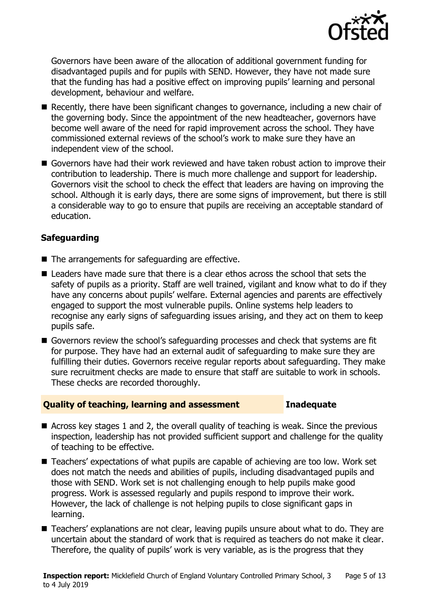

Governors have been aware of the allocation of additional government funding for disadvantaged pupils and for pupils with SEND. However, they have not made sure that the funding has had a positive effect on improving pupils' learning and personal development, behaviour and welfare.

- $\blacksquare$  Recently, there have been significant changes to governance, including a new chair of the governing body. Since the appointment of the new headteacher, governors have become well aware of the need for rapid improvement across the school. They have commissioned external reviews of the school's work to make sure they have an independent view of the school.
- Governors have had their work reviewed and have taken robust action to improve their contribution to leadership. There is much more challenge and support for leadership. Governors visit the school to check the effect that leaders are having on improving the school. Although it is early days, there are some signs of improvement, but there is still a considerable way to go to ensure that pupils are receiving an acceptable standard of education.

### **Safeguarding**

- $\blacksquare$  The arrangements for safeguarding are effective.
- Leaders have made sure that there is a clear ethos across the school that sets the safety of pupils as a priority. Staff are well trained, vigilant and know what to do if they have any concerns about pupils' welfare. External agencies and parents are effectively engaged to support the most vulnerable pupils. Online systems help leaders to recognise any early signs of safeguarding issues arising, and they act on them to keep pupils safe.
- Governors review the school's safeguarding processes and check that systems are fit for purpose. They have had an external audit of safeguarding to make sure they are fulfilling their duties. Governors receive regular reports about safeguarding. They make sure recruitment checks are made to ensure that staff are suitable to work in schools. These checks are recorded thoroughly.

### **Quality of teaching, learning and assessment Inadequate**

- Across key stages 1 and 2, the overall quality of teaching is weak. Since the previous inspection, leadership has not provided sufficient support and challenge for the quality of teaching to be effective.
- Teachers' expectations of what pupils are capable of achieving are too low. Work set does not match the needs and abilities of pupils, including disadvantaged pupils and those with SEND. Work set is not challenging enough to help pupils make good progress. Work is assessed regularly and pupils respond to improve their work. However, the lack of challenge is not helping pupils to close significant gaps in learning.
- Teachers' explanations are not clear, leaving pupils unsure about what to do. They are uncertain about the standard of work that is required as teachers do not make it clear. Therefore, the quality of pupils' work is very variable, as is the progress that they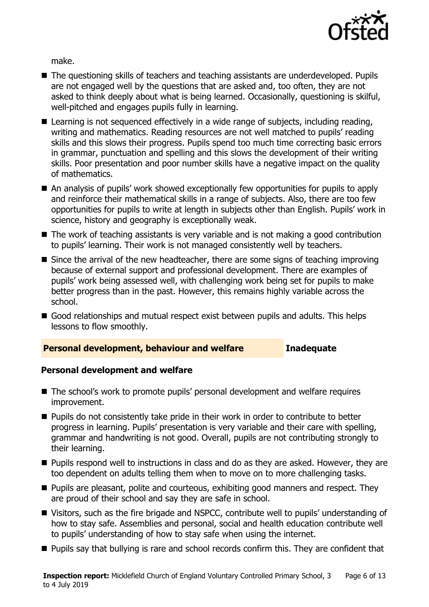

make.

- The questioning skills of teachers and teaching assistants are underdeveloped. Pupils are not engaged well by the questions that are asked and, too often, they are not asked to think deeply about what is being learned. Occasionally, questioning is skilful, well-pitched and engages pupils fully in learning.
- Learning is not sequenced effectively in a wide range of subjects, including reading, writing and mathematics. Reading resources are not well matched to pupils' reading skills and this slows their progress. Pupils spend too much time correcting basic errors in grammar, punctuation and spelling and this slows the development of their writing skills. Poor presentation and poor number skills have a negative impact on the quality of mathematics.
- An analysis of pupils' work showed exceptionally few opportunities for pupils to apply and reinforce their mathematical skills in a range of subjects. Also, there are too few opportunities for pupils to write at length in subjects other than English. Pupils' work in science, history and geography is exceptionally weak.
- The work of teaching assistants is very variable and is not making a good contribution to pupils' learning. Their work is not managed consistently well by teachers.
- Since the arrival of the new headteacher, there are some signs of teaching improving because of external support and professional development. There are examples of pupils' work being assessed well, with challenging work being set for pupils to make better progress than in the past. However, this remains highly variable across the school.
- Good relationships and mutual respect exist between pupils and adults. This helps lessons to flow smoothly.

#### **Personal development, behaviour and welfare Inadequate**

### **Personal development and welfare**

- The school's work to promote pupils' personal development and welfare requires improvement.
- **Pupils do not consistently take pride in their work in order to contribute to better** progress in learning. Pupils' presentation is very variable and their care with spelling, grammar and handwriting is not good. Overall, pupils are not contributing strongly to their learning.
- **Pupils respond well to instructions in class and do as they are asked. However, they are** too dependent on adults telling them when to move on to more challenging tasks.
- **Pupils are pleasant, polite and courteous, exhibiting good manners and respect. They** are proud of their school and say they are safe in school.
- Visitors, such as the fire brigade and NSPCC, contribute well to pupils' understanding of how to stay safe. Assemblies and personal, social and health education contribute well to pupils' understanding of how to stay safe when using the internet.
- **Pupils say that bullying is rare and school records confirm this. They are confident that**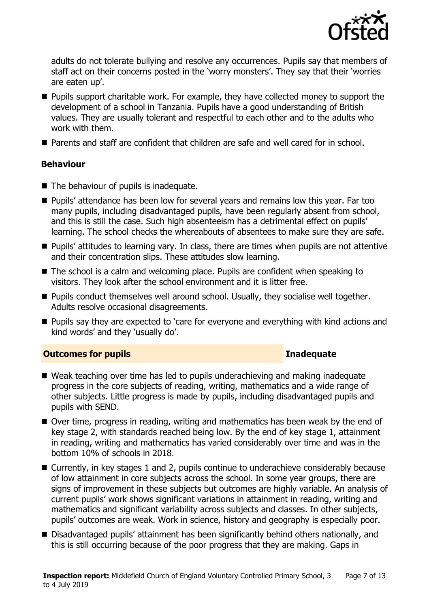

adults do not tolerate bullying and resolve any occurrences. Pupils say that members of staff act on their concerns posted in the 'worry monsters'. They say that their 'worries are eaten up'.

- **Pupils support charitable work. For example, they have collected money to support the** development of a school in Tanzania. Pupils have a good understanding of British values. They are usually tolerant and respectful to each other and to the adults who work with them.
- Parents and staff are confident that children are safe and well cared for in school.

### **Behaviour**

- The behaviour of pupils is inadequate.
- **Pupils'** attendance has been low for several years and remains low this year. Far too many pupils, including disadvantaged pupils, have been regularly absent from school, and this is still the case. Such high absenteeism has a detrimental effect on pupils' learning. The school checks the whereabouts of absentees to make sure they are safe.
- **Pupils' attitudes to learning vary. In class, there are times when pupils are not attentive** and their concentration slips. These attitudes slow learning.
- The school is a calm and welcoming place. Pupils are confident when speaking to visitors. They look after the school environment and it is litter free.
- Pupils conduct themselves well around school. Usually, they socialise well together. Adults resolve occasional disagreements.
- **Pupils say they are expected to 'care for everyone and everything with kind actions and** kind words' and they 'usually do'.

### **Outcomes for pupils Inadequate**

- Weak teaching over time has led to pupils underachieving and making inadequate progress in the core subjects of reading, writing, mathematics and a wide range of other subjects. Little progress is made by pupils, including disadvantaged pupils and pupils with SEND.
- Over time, progress in reading, writing and mathematics has been weak by the end of key stage 2, with standards reached being low. By the end of key stage 1, attainment in reading, writing and mathematics has varied considerably over time and was in the bottom 10% of schools in 2018.
- Currently, in key stages 1 and 2, pupils continue to underachieve considerably because of low attainment in core subjects across the school. In some year groups, there are signs of improvement in these subjects but outcomes are highly variable. An analysis of current pupils' work shows significant variations in attainment in reading, writing and mathematics and significant variability across subjects and classes. In other subjects, pupils' outcomes are weak. Work in science, history and geography is especially poor.
- Disadvantaged pupils' attainment has been significantly behind others nationally, and this is still occurring because of the poor progress that they are making. Gaps in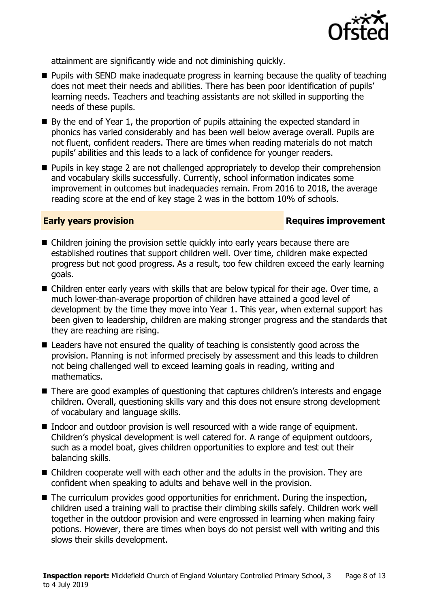

attainment are significantly wide and not diminishing quickly.

- **Pupils with SEND make inadequate progress in learning because the quality of teaching** does not meet their needs and abilities. There has been poor identification of pupils' learning needs. Teachers and teaching assistants are not skilled in supporting the needs of these pupils.
- $\blacksquare$  By the end of Year 1, the proportion of pupils attaining the expected standard in phonics has varied considerably and has been well below average overall. Pupils are not fluent, confident readers. There are times when reading materials do not match pupils' abilities and this leads to a lack of confidence for younger readers.
- **Pupils in key stage 2 are not challenged appropriately to develop their comprehension** and vocabulary skills successfully. Currently, school information indicates some improvement in outcomes but inadequacies remain. From 2016 to 2018, the average reading score at the end of key stage 2 was in the bottom 10% of schools.

### **Early years provision**

- Children joining the provision settle quickly into early years because there are established routines that support children well. Over time, children make expected progress but not good progress. As a result, too few children exceed the early learning goals.
- Children enter early years with skills that are below typical for their age. Over time, a much lower-than-average proportion of children have attained a good level of development by the time they move into Year 1. This year, when external support has been given to leadership, children are making stronger progress and the standards that they are reaching are rising.
- Leaders have not ensured the quality of teaching is consistently good across the provision. Planning is not informed precisely by assessment and this leads to children not being challenged well to exceed learning goals in reading, writing and mathematics.
- There are good examples of questioning that captures children's interests and engage children. Overall, questioning skills vary and this does not ensure strong development of vocabulary and language skills.
- Indoor and outdoor provision is well resourced with a wide range of equipment. Children's physical development is well catered for. A range of equipment outdoors, such as a model boat, gives children opportunities to explore and test out their balancing skills.
- Children cooperate well with each other and the adults in the provision. They are confident when speaking to adults and behave well in the provision.
- The curriculum provides good opportunities for enrichment. During the inspection, children used a training wall to practise their climbing skills safely. Children work well together in the outdoor provision and were engrossed in learning when making fairy potions. However, there are times when boys do not persist well with writing and this slows their skills development.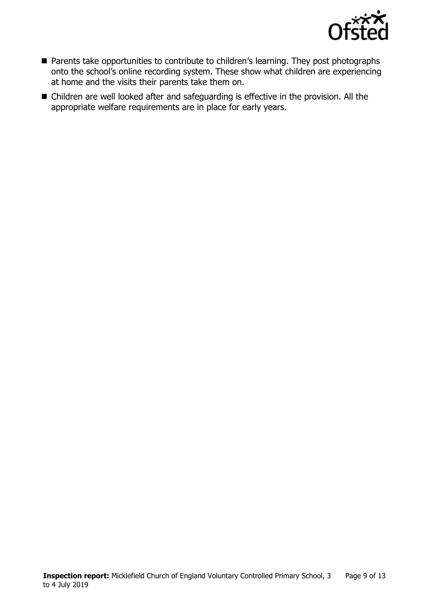

- **Parents take opportunities to contribute to children's learning. They post photographs** onto the school's online recording system. These show what children are experiencing at home and the visits their parents take them on.
- Children are well looked after and safeguarding is effective in the provision. All the appropriate welfare requirements are in place for early years.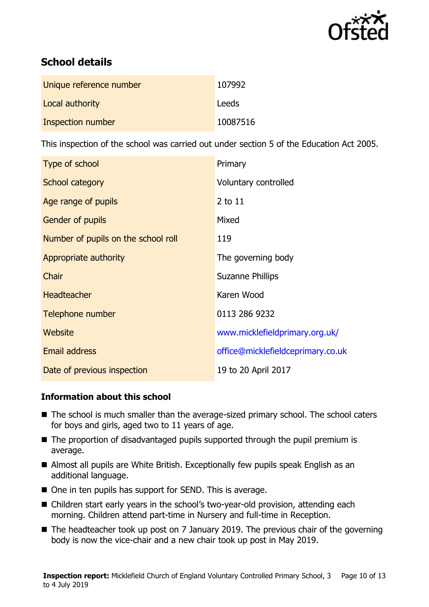

# **School details**

| Unique reference number | 107992   |
|-------------------------|----------|
| Local authority         | Leeds    |
| Inspection number       | 10087516 |

This inspection of the school was carried out under section 5 of the Education Act 2005.

| Type of school                      | Primary                           |
|-------------------------------------|-----------------------------------|
| School category                     | Voluntary controlled              |
| Age range of pupils                 | 2 to 11                           |
| Gender of pupils                    | Mixed                             |
| Number of pupils on the school roll | 119                               |
| Appropriate authority               | The governing body                |
| Chair                               | <b>Suzanne Phillips</b>           |
| <b>Headteacher</b>                  | Karen Wood                        |
| Telephone number                    | 0113 286 9232                     |
| Website                             | www.micklefieldprimary.org.uk/    |
| Email address                       | office@micklefieldceprimary.co.uk |
| Date of previous inspection         | 19 to 20 April 2017               |

### **Information about this school**

- The school is much smaller than the average-sized primary school. The school caters for boys and girls, aged two to 11 years of age.
- The proportion of disadvantaged pupils supported through the pupil premium is average.
- Almost all pupils are White British. Exceptionally few pupils speak English as an additional language.
- One in ten pupils has support for SEND. This is average.
- Children start early years in the school's two-year-old provision, attending each morning. Children attend part-time in Nursery and full-time in Reception.
- The headteacher took up post on 7 January 2019. The previous chair of the governing body is now the vice-chair and a new chair took up post in May 2019.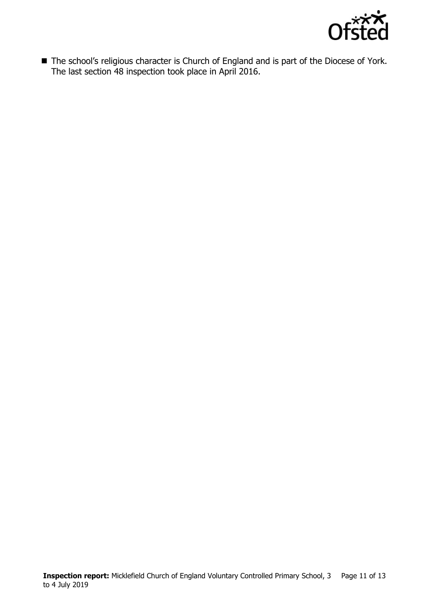

■ The school's religious character is Church of England and is part of the Diocese of York. The last section 48 inspection took place in April 2016.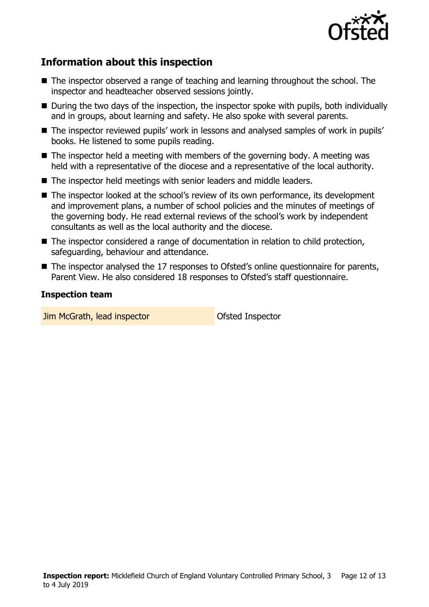

# **Information about this inspection**

- The inspector observed a range of teaching and learning throughout the school. The inspector and headteacher observed sessions jointly.
- During the two days of the inspection, the inspector spoke with pupils, both individually and in groups, about learning and safety. He also spoke with several parents.
- The inspector reviewed pupils' work in lessons and analysed samples of work in pupils' books. He listened to some pupils reading.
- $\blacksquare$  The inspector held a meeting with members of the governing body. A meeting was held with a representative of the diocese and a representative of the local authority.
- The inspector held meetings with senior leaders and middle leaders.
- The inspector looked at the school's review of its own performance, its development and improvement plans, a number of school policies and the minutes of meetings of the governing body. He read external reviews of the school's work by independent consultants as well as the local authority and the diocese.
- The inspector considered a range of documentation in relation to child protection, safeguarding, behaviour and attendance.
- The inspector analysed the 17 responses to Ofsted's online questionnaire for parents, Parent View. He also considered 18 responses to Ofsted's staff questionnaire.

#### **Inspection team**

**Jim McGrath, lead inspector Construction Construction Construction McGrath, lead inspector**